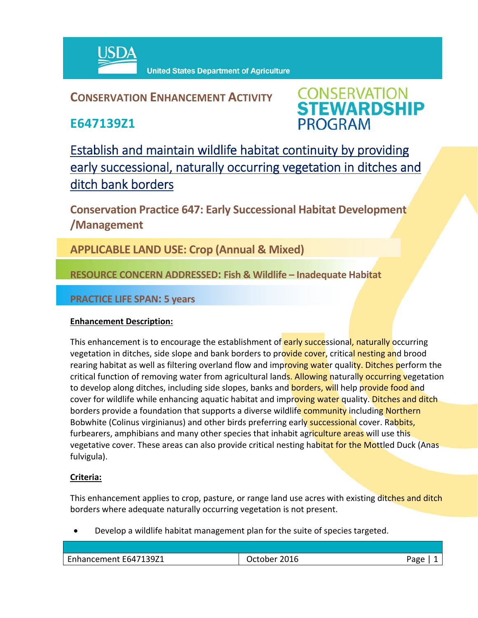

# **CONSERVATION ENHANCEMENT ACTIVITY**

**E647139Z1**



Establish and maintain wildlife habitat continuity by providing early successional, naturally occurring vegetation in ditches and ditch bank borders

**Conservation Practice 647: Early Successional Habitat Development /Management** 

**APPLICABLE LAND USE: Crop (Annual & Mixed)**

**RESOURCE CONCERN ADDRESSED: Fish & Wildlife – Inadequate Habitat**

## **PRACTICE LIFE SPAN: 5 years**

### **Enhancement Description:**

This enhancement is to encourage the establishment of **early succe**ssional, naturally occurring vegetation in ditches, side slope and bank borders to provide cover, critical nesting and brood rearing habitat as well as filtering overland flow and improving water quality. Ditches perform the critical function of removing water from agricultural lands. Allowing naturally occurring vegetation to develop along ditches, including side slopes, banks and **borders, wil**l help provide food and cover for wildlife while enhancing aquatic habitat and improving water quality. Ditches and ditch borders provide a foundation that supports a diverse wildlife community including Northern Bobwhite (Colinus virginianus) and other birds preferring early successional cover. Rabbits, furbearers, amphibians and many other species that inhabit agriculture areas will use this vegetative cover. These areas can also provide critical nesting habitat for the Mottled Duck (Anas fulvigula).

### **Criteria:**

This enhancement applies to crop, pasture, or range land use acres with existing ditches and ditch borders where adequate naturally occurring vegetation is not present.

Develop a wildlife habitat management plan for the suite of species targeted.

| ____ | ape<br>-פ |
|------|-----------|
|      |           |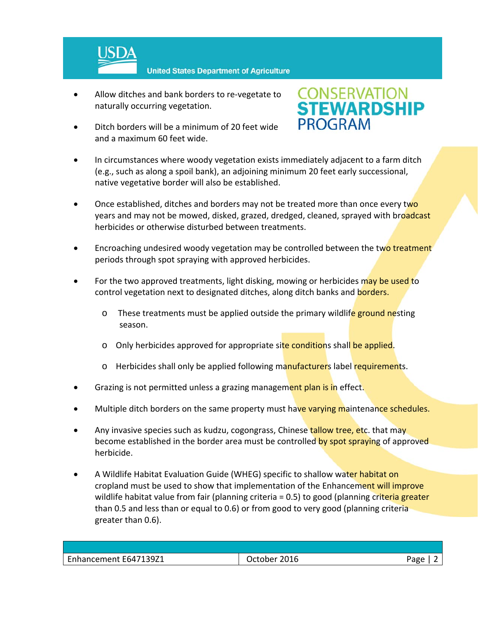

- Allow ditches and bank borders to re‐vegetate to naturally occurring vegetation.
- Ditch borders will be a minimum of 20 feet wide and a maximum 60 feet wide.



- In circumstances where woody vegetation exists immediately adjacent to a farm ditch (e.g., such as along a spoil bank), an adjoining minimum 20 feet early successional, native vegetative border will also be established.
- Once established, ditches and borders may not be treated more than once every two years and may not be mowed, disked, grazed, dredged, cleaned, sprayed with broadcast herbicides or otherwise disturbed between treatments.
- Encroaching undesired woody vegetation may be controlled between the two treatment periods through spot spraying with approved herbicides.
- For the two approved treatments, light disking, mowing or herbicides may be used to control vegetation next to designated ditches, along ditch banks and **borders.** 
	- o These treatments must be applied outside the primary wildlife ground nesting season.
	- o Only herbicides approved for appropriate site conditions shall be applied.
	- $\circ$  Herbicides shall only be applied following manufacturers label requirements.
- Grazing is not permitted unless a grazing management plan is in effect.
- Multiple ditch borders on the same property must have varying maintenance schedules.
- Any invasive species such as kudzu, cogongrass, Chinese tallow tree, etc. that may become established in the border area must be controlled by spot spraying of approved herbicide.
- A Wildlife Habitat Evaluation Guide (WHEG) specific to shallow water habitat on cropland must be used to show that implementation of the Enhancement will improve wildlife habitat value from fair (planning criteria  $= 0.5$ ) to good (planning criteria greater than 0.5 and less than or equal to 0.6) or from good to very good (planning criteria greater than 0.6).

| Enhancement E647139Z1 | 2016<br>October | Page |
|-----------------------|-----------------|------|